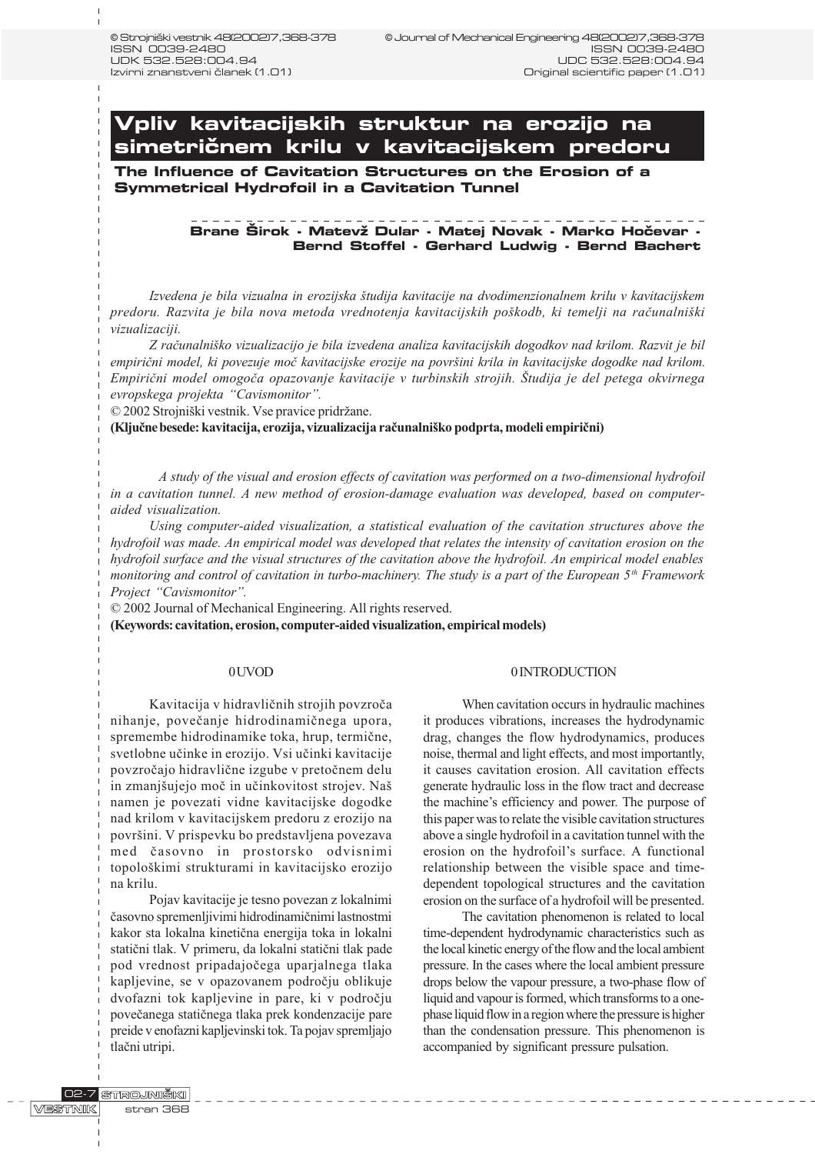**Vpliv kavitacijskih struktur na erozijo na simetri~nem krilu v kavitacijskem predoru**

**The Influence of Cavitation Structures on the Erosion of a Symmetrical Hydrofoil in a Cavitation Tunnel**

# Brane Širok - Matevž Dular - Matej Novak - Marko Hočevar -**Bernd Stoffel - Gerhard Ludwig - Bernd Bachert**

Izvedena je bila vizualna in erozijska študija kavitacije na dvodimenzionalnem krilu v kavitacijskem predoru. Razvita je bila nova metoda vrednotenja kavitacijskih poškodb, ki temelji na računalniški vizualizaciji.

Z raèunalniko vizualizacijo je bila izvedena analiza kavitacijskih dogodkov nad krilom. Razvit je bil empirièni model, ki povezuje moè kavitacijske erozije na povrini krila in kavitacijske dogodke nad krilom. Empirični model omogoča opazovanje kavitacije v turbinskih strojih. Študija je del petega okvirnega evropskega projekta "Cavismonitor".

© 2002 Strojniški vestnik. Vse pravice pridržane.

(Kljuène besede: kavitacija, erozija, vizualizacija raèunalniko podprta, modeli empirièni)

A study of the visual and erosion effects of cavitation was performed on a two-dimensional hydrofoil in a cavitation tunnel. A new method of erosion-damage evaluation was developed, based on computeraided visualization.

Using computer-aided visualization, a statistical evaluation of the cavitation structures above the hydrofoil was made. An empirical model was developed that relates the intensity of cavitation erosion on the hydrofoil surface and the visual structures of the cavitation above the hydrofoil. An empirical model enables monitoring and control of cavitation in turbo-machinery. The study is a part of the European  $5<sup>th</sup>$  Framework Project "Cavismonitor".

© 2002 Journal of Mechanical Engineering. All rights reserved.

(Keywords: cavitation, erosion, computer-aided visualization, empirical models)

#### 0 UVOD

Kavitacija v hidravliènih strojih povzroèa nihanje, poveèanje hidrodinamiènega upora, spremembe hidrodinamike toka, hrup, termiène, svetlobne uèinke in erozijo. Vsi uèinki kavitacije povzroèajo hidravliène izgube v pretoènem delu in zmanjšujejo moč in učinkovitost strojev. Naš namen je povezati vidne kavitacijske dogodke nad krilom v kavitacijskem predoru z erozijo na površini. V prispevku bo predstavljena povezava med èasovno in prostorsko odvisnimi topolokimi strukturami in kavitacijsko erozijo na krilu.

Pojav kavitacije je tesno povezan z lokalnimi èasovno spremenljivimi hidrodinamiènimi lastnostmi kakor sta lokalna kinetièna energija toka in lokalni statièni tlak. V primeru, da lokalni statièni tlak pade pod vrednost pripadajoèega uparjalnega tlaka kapljevine, se v opazovanem podroèju oblikuje dvofazni tok kapljevine in pare, ki v podroèju poveèanega statiènega tlaka prek kondenzacije pare preide v enofazni kapljevinski tok. Ta pojav spremljajo tlaèni utripi.

#### 0 INTRODUCTION

When cavitation occurs in hydraulic machines it produces vibrations, increases the hydrodynamic drag, changes the flow hydrodynamics, produces noise, thermal and light effects, and most importantly, it causes cavitation erosion. All cavitation effects generate hydraulic loss in the flow tract and decrease the machine's efficiency and power. The purpose of this paper was to relate the visible cavitation structures above a single hydrofoil in a cavitation tunnel with the erosion on the hydrofoil's surface. A functional relationship between the visible space and timedependent topological structures and the cavitation erosion on the surface of a hydrofoil will be presented.

The cavitation phenomenon is related to local time-dependent hydrodynamic characteristics such as the local kinetic energy of the flow and the local ambient pressure. In the cases where the local ambient pressure drops below the vapour pressure, a two-phase flow of liquid and vapour is formed, which transforms to a onephase liquid flow in a region where the pressure is higher than the condensation pressure. This phenomenon is accompanied by significant pressure pulsation.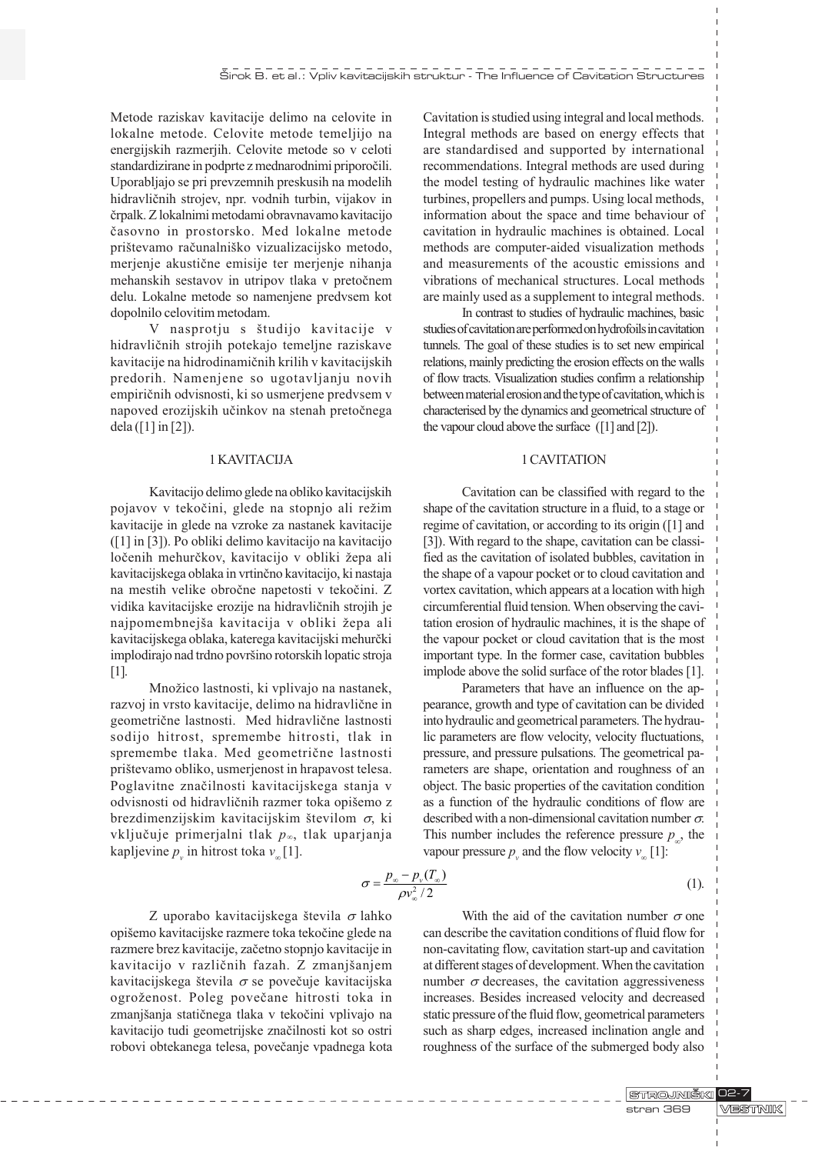Metode raziskav kavitacije delimo na celovite in lokalne metode. Celovite metode temeljijo na energijskih razmerjih. Celovite metode so v celoti standardizirane in podprte z mednarodnimi priporoèili. Uporabljajo se pri prevzemnih preskusih na modelih hidravliènih strojev, npr. vodnih turbin, vijakov in èrpalk. Z lokalnimi metodami obravnavamo kavitacijo èasovno in prostorsko. Med lokalne metode prištevamo računalniško vizualizacijsko metodo, merjenje akustiène emisije ter merjenje nihanja mehanskih sestavov in utripov tlaka v pretoènem delu. Lokalne metode so namenjene predvsem kot dopolnilo celovitim metodam.

V nasprotju s študijo kavitacije v hidravliènih strojih potekajo temeljne raziskave kavitacije na hidrodinamiènih krilih v kavitacijskih predorih. Namenjene so ugotavljanju novih empiriènih odvisnosti, ki so usmerjene predvsem v napoved erozijskih uèinkov na stenah pretoènega dela ([1] in [2]).

#### 1 KAVITACIJA

Kavitacijo delimo glede na obliko kavitacijskih pojavov v tekočini, glede na stopnjo ali režim kavitacije in glede na vzroke za nastanek kavitacije ([1] in [3]). Po obliki delimo kavitacijo na kavitacijo ločenih mehurčkov, kavitacijo v obliki žepa ali kavitacijskega oblaka in vrtinèno kavitacijo, ki nastaja na mestih velike obroène napetosti v tekoèini. Z vidika kavitacijske erozije na hidravličnih strojih je najpomembnejša kavitacija v obliki žepa ali kavitacijskega oblaka, katerega kavitacijski mehurèki implodirajo nad trdno površino rotorskih lopatic stroja [1].

Množico lastnosti, ki vplivajo na nastanek, razvoj in vrsto kavitacije, delimo na hidravliène in geometriène lastnosti. Med hidravliène lastnosti sodijo hitrost, spremembe hitrosti, tlak in spremembe tlaka. Med geometriène lastnosti prištevamo obliko, usmerjenost in hrapavost telesa. Poglavitne znaèilnosti kavitacijskega stanja v odvisnosti od hidravličnih razmer toka opišemo z brezdimenzijskim kavitacijskim številom  $\sigma$ , ki vključuje primerjalni tlak  $p_{\infty}$ , tlak uparjanja kapljevine  $p_{\nu}$  in hitrost toka  $v_{\infty}[1]$ .

Cavitation is studied using integral and local methods. Integral methods are based on energy effects that are standardised and supported by international recommendations. Integral methods are used during the model testing of hydraulic machines like water turbines, propellers and pumps. Using local methods, information about the space and time behaviour of cavitation in hydraulic machines is obtained. Local methods are computer-aided visualization methods and measurements of the acoustic emissions and vibrations of mechanical structures. Local methods are mainly used as a supplement to integral methods.

In contrast to studies of hydraulic machines, basic studies of cavitation are performed on hydrofoils in cavitation tunnels. The goal of these studies is to set new empirical relations, mainly predicting the erosion effects on the walls of flow tracts. Visualization studies confirm a relationship between material erosion and the type of cavitation, which is characterised by the dynamics and geometrical structure of the vapour cloud above the surface ([1] and [2]).

## 1 CAVITATION

Cavitation can be classified with regard to the shape of the cavitation structure in a fluid, to a stage or regime of cavitation, or according to its origin ([1] and [3]). With regard to the shape, cavitation can be classified as the cavitation of isolated bubbles, cavitation in the shape of a vapour pocket or to cloud cavitation and vortex cavitation, which appears at a location with high circumferential fluid tension. When observing the cavitation erosion of hydraulic machines, it is the shape of the vapour pocket or cloud cavitation that is the most important type. In the former case, cavitation bubbles implode above the solid surface of the rotor blades [1].

Parameters that have an influence on the appearance, growth and type of cavitation can be divided into hydraulic and geometrical parameters. The hydraulic parameters are flow velocity, velocity fluctuations, pressure, and pressure pulsations. The geometrical parameters are shape, orientation and roughness of an object. The basic properties of the cavitation condition as a function of the hydraulic conditions of flow are described with a non-dimensional cavitation number  $\sigma$ . This number includes the reference pressure  $p<sub>1</sub>$ , the vapour pressure  $p_{v}$  and the flow velocity  $v_{\infty}$  [1]:

$$
\sigma = \frac{p_{\infty} - p_{\nu}(T_{\infty})}{\rho v_{\infty}^2 / 2}
$$
 (1).

Z uporabo kavitacijskega števila  $\sigma$  lahko opišemo kavitacijske razmere toka tekočine glede na razmere brez kavitacije, zaèetno stopnjo kavitacije in kavitacijo v različnih fazah. Z zmanjšanjem kavitacijskega števila  $\sigma$  se povečuje kavitacijska ogroženost. Poleg povečane hitrosti toka in zmanjšanja statičnega tlaka v tekočini vplivajo na kavitacijo tudi geometrijske znaèilnosti kot so ostri robovi obtekanega telesa, poveèanje vpadnega kota

With the aid of the cavitation number  $\sigma$  one can describe the cavitation conditions of fluid flow for non-cavitating flow, cavitation start-up and cavitation at different stages of development. When the cavitation number  $\sigma$  decreases, the cavitation aggressiveness increases. Besides increased velocity and decreased static pressure of the fluid flow, geometrical parameters such as sharp edges, increased inclination angle and roughness of the surface of the submerged body also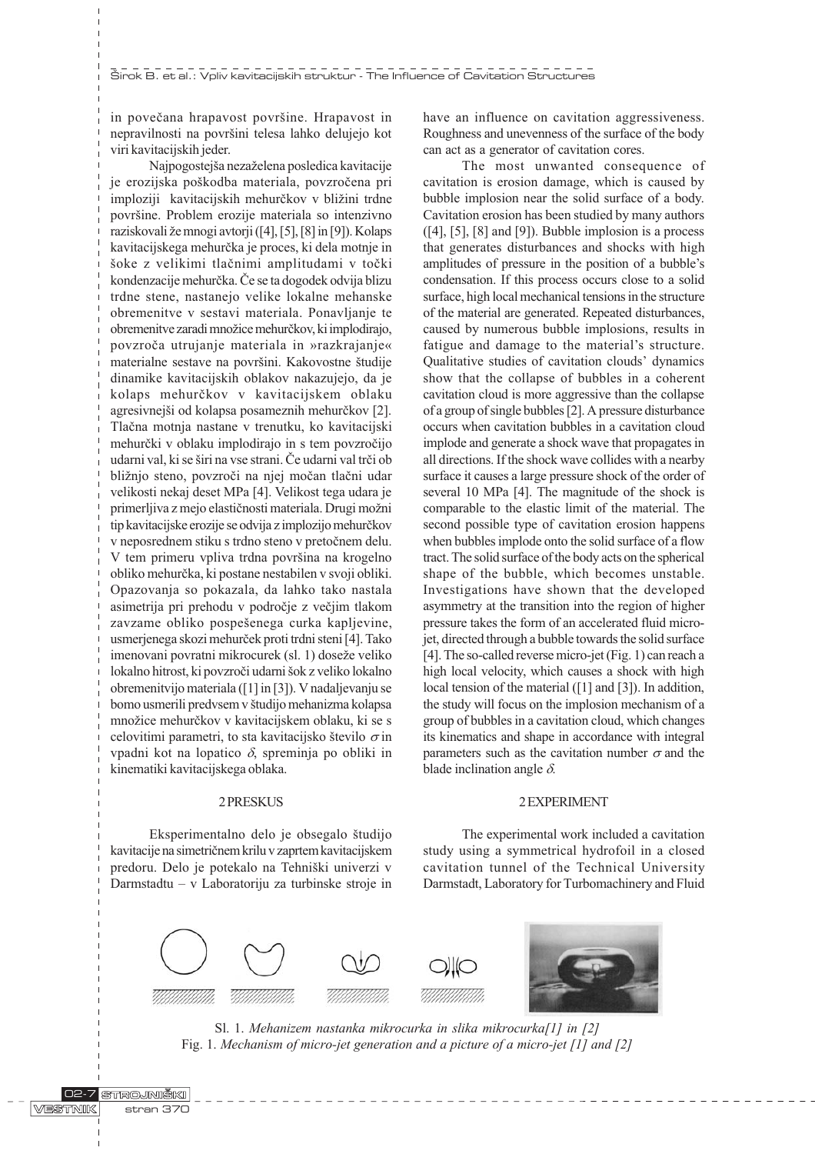in povečana hrapavost površine. Hrapavost in nepravilnosti na površini telesa lahko delujejo kot viri kavitacijskih jeder.

Najpogostejša nezaželena posledica kavitacije je erozijska poškodba materiala, povzročena pri imploziji kavitacijskih mehurčkov v bližini trdne povrine. Problem erozije materiala so intenzivno raziskovali že mnogi avtorji ([4], [5], [8] in [9]). Kolaps kavitacijskega mehurèka je proces, ki dela motnje in šoke z velikimi tlačnimi amplitudami v točki kondenzacije mehurèka. Èe se ta dogodek odvija blizu trdne stene, nastanejo velike lokalne mehanske obremenitve v sestavi materiala. Ponavljanje te obremenitve zaradi množice mehurčkov, ki implodirajo, povzroèa utrujanje materiala in »razkrajanje« materialne sestave na površini. Kakovostne študije dinamike kavitacijskih oblakov nakazujejo, da je kolaps mehurèkov v kavitacijskem oblaku agresivnejši od kolapsa posameznih mehurčkov [2]. Tlaèna motnja nastane v trenutku, ko kavitacijski mehurèki v oblaku implodirajo in s tem povzroèijo udarni val, ki se širi na vse strani. Če udarni val trči ob bližnjo steno, povzroči na njej močan tlačni udar velikosti nekaj deset MPa [4]. Velikost tega udara je primerljiva z mejo elastičnosti materiala. Drugi možni tip kavitacijske erozije se odvija z implozijo mehurèkov v neposrednem stiku s trdno steno v pretoènem delu. V tem primeru vpliva trdna površina na krogelno obliko mehurèka, ki postane nestabilen v svoji obliki. Opazovanja so pokazala, da lahko tako nastala asimetrija pri prehodu v podroèje z veèjim tlakom zavzame obliko pospešenega curka kapljevine, usmerjenega skozi mehurèek proti trdni steni [4]. Tako imenovani povratni mikrocurek (sl. 1) doseže veliko lokalno hitrost, ki povzroči udarni šok z veliko lokalno obremenitvijo materiala ([1] in [3]). V nadaljevanju se bomo usmerili predvsem v študijo mehanizma kolapsa množice mehurčkov v kavitacijskem oblaku, ki se s celovitimi parametri, to sta kavitacijsko število  $\sigma$  in vpadni kot na lopatico  $\delta$ , spreminja po obliki in kinematiki kavitacijskega oblaka.

#### 2 PRESKUS

Eksperimentalno delo je obsegalo študijo kavitacije na simetriènem krilu v zaprtem kavitacijskem predoru. Delo je potekalo na Tehniški univerzi v Darmstadtu – v Laboratoriju za turbinske stroje in

have an influence on cavitation aggressiveness. Roughness and unevenness of the surface of the body can act as a generator of cavitation cores.

The most unwanted consequence of cavitation is erosion damage, which is caused by bubble implosion near the solid surface of a body. Cavitation erosion has been studied by many authors  $([4], [5], [8]$  and  $[9]$ ). Bubble implosion is a process that generates disturbances and shocks with high amplitudes of pressure in the position of a bubble's condensation. If this process occurs close to a solid surface, high local mechanical tensions in the structure of the material are generated. Repeated disturbances, caused by numerous bubble implosions, results in fatigue and damage to the material's structure. Qualitative studies of cavitation clouds' dynamics show that the collapse of bubbles in a coherent cavitation cloud is more aggressive than the collapse of a group of single bubbles [2]. A pressure disturbance occurs when cavitation bubbles in a cavitation cloud implode and generate a shock wave that propagates in all directions. If the shock wave collides with a nearby surface it causes a large pressure shock of the order of several 10 MPa [4]. The magnitude of the shock is comparable to the elastic limit of the material. The second possible type of cavitation erosion happens when bubbles implode onto the solid surface of a flow tract. The solid surface of the body acts on the spherical shape of the bubble, which becomes unstable. Investigations have shown that the developed asymmetry at the transition into the region of higher pressure takes the form of an accelerated fluid microjet, directed through a bubble towards the solid surface [4]. The so-called reverse micro-jet (Fig. 1) can reach a high local velocity, which causes a shock with high local tension of the material ([1] and [3]). In addition, the study will focus on the implosion mechanism of a group of bubbles in a cavitation cloud, which changes its kinematics and shape in accordance with integral parameters such as the cavitation number  $\sigma$  and the blade inclination angle  $\delta$ .

## 2 EXPERIMENT

The experimental work included a cavitation study using a symmetrical hydrofoil in a closed cavitation tunnel of the Technical University Darmstadt, Laboratory for Turbomachinery and Fluid



Sl. 1. Mehanizem nastanka mikrocurka in slika mikrocurka[1] in [2] Fig. 1. Mechanism of micro-jet generation and a picture of a micro-jet [1] and [2]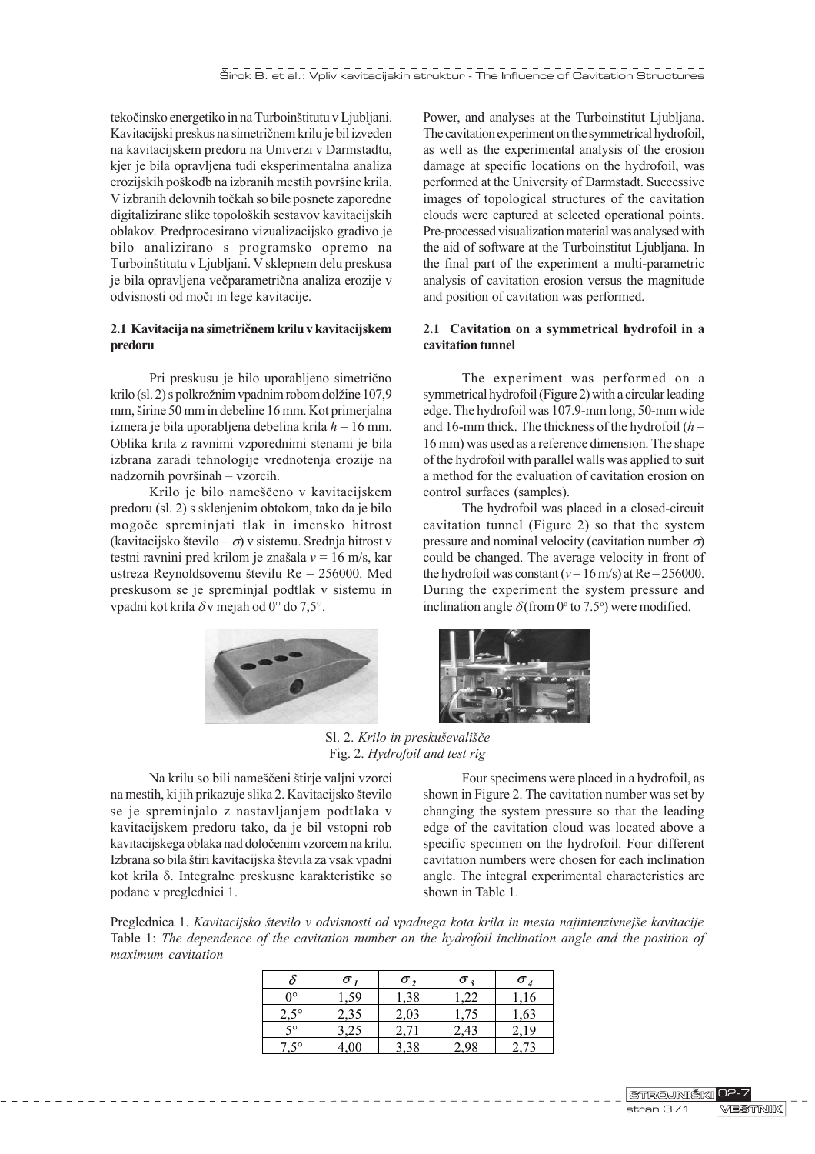tekočinsko energetiko in na Turboinštitutu v Ljubljani. Kavitacijski preskus na simetriènem krilu je bil izveden na kavitacijskem predoru na Univerzi v Darmstadtu, kjer je bila opravljena tudi eksperimentalna analiza erozijskih poškodb na izbranih mestih površine krila. V izbranih delovnih toèkah so bile posnete zaporedne digitalizirane slike topoloških sestavov kavitacijskih oblakov. Predprocesirano vizualizacijsko gradivo je bilo analizirano s programsko opremo na Turboinštitutu v Ljubljani. V sklepnem delu preskusa je bila opravljena veèparametrièna analiza erozije v odvisnosti od moèi in lege kavitacije.

## 2.1 Kavitacija na simetriènem krilu v kavitacijskem predoru

Pri preskusu je bilo uporabljeno simetrièno krilo (sl. 2) s polkrožnim vpadnim robom dolžine 107,9 mm, širine 50 mm in debeline 16 mm. Kot primerjalna izmera je bila uporabljena debelina krila  $h = 16$  mm. Oblika krila z ravnimi vzporednimi stenami je bila izbrana zaradi tehnologije vrednotenja erozije na nadzornih površinah - vzorcih.

Krilo je bilo nameščeno v kavitacijskem predoru (sl. 2) s sklenjenim obtokom, tako da je bilo mogoèe spreminjati tlak in imensko hitrost (kavitacijsko število  $-\sigma$ ) v sistemu. Srednja hitrost v testni ravnini pred krilom je znašala  $v = 16$  m/s, kar ustreza Reynoldsovemu številu Re  $= 256000$ . Med preskusom se je spreminjal podtlak v sistemu in vpadni kot krila  $\delta v$  mejah od 0° do 7,5°.



## 2.1 Cavitation on a symmetrical hydrofoil in a cavitation tunnel

The experiment was performed on a symmetrical hydrofoil (Figure 2) with a circular leading edge. The hydrofoil was 107.9-mm long, 50-mm wide and 16-mm thick. The thickness of the hydrofoil  $(h =$ 16 mm) was used as a reference dimension. The shape of the hydrofoil with parallel walls was applied to suit a method for the evaluation of cavitation erosion on control surfaces (samples).

The hydrofoil was placed in a closed-circuit cavitation tunnel (Figure 2) so that the system pressure and nominal velocity (cavitation number  $\sigma$ ) could be changed. The average velocity in front of the hydrofoil was constant ( $v = 16$  m/s) at Re = 256000. During the experiment the system pressure and inclination angle  $\delta$  (from 0° to 7.5°) were modified.





Sl. 2. Krilo in preskuševališče Fig. 2. Hydrofoil and test rig

Na krilu so bili nameščeni štirje valjni vzorci na mestih, ki jih prikazuje slika 2. Kavitacijsko število se je spreminjalo z nastavljanjem podtlaka v kavitacijskem predoru tako, da je bil vstopni rob kavitacijskega oblaka nad doloèenim vzorcem na krilu. Izbrana so bila štiri kavitacijska števila za vsak vpadni kot krila d. Integralne preskusne karakteristike so podane v preglednici 1.

Four specimens were placed in a hydrofoil, as shown in Figure 2. The cavitation number was set by changing the system pressure so that the leading edge of the cavitation cloud was located above a specific specimen on the hydrofoil. Four different cavitation numbers were chosen for each inclination angle. The integral experimental characteristics are shown in Table 1.

Preglednica 1. Kavitacijsko število v odvisnosti od vpadnega kota krila in mesta najintenzivnejše kavitacije Table 1: The dependence of the cavitation number on the hydrofoil inclination angle and the position of maximum cavitation

|               | σ    | $\sigma$ | $\sigma$ | σ    |
|---------------|------|----------|----------|------|
| ∩∘            | ,59  | 1,38     | .22      | .16  |
| $2,5^{\circ}$ | 2,35 | 2,03     | 1.75     | 1,63 |
| 50            | 3,25 | 2, I     | 2,43     | 2,19 |
| $.5^{\circ}$  |      |          |          |      |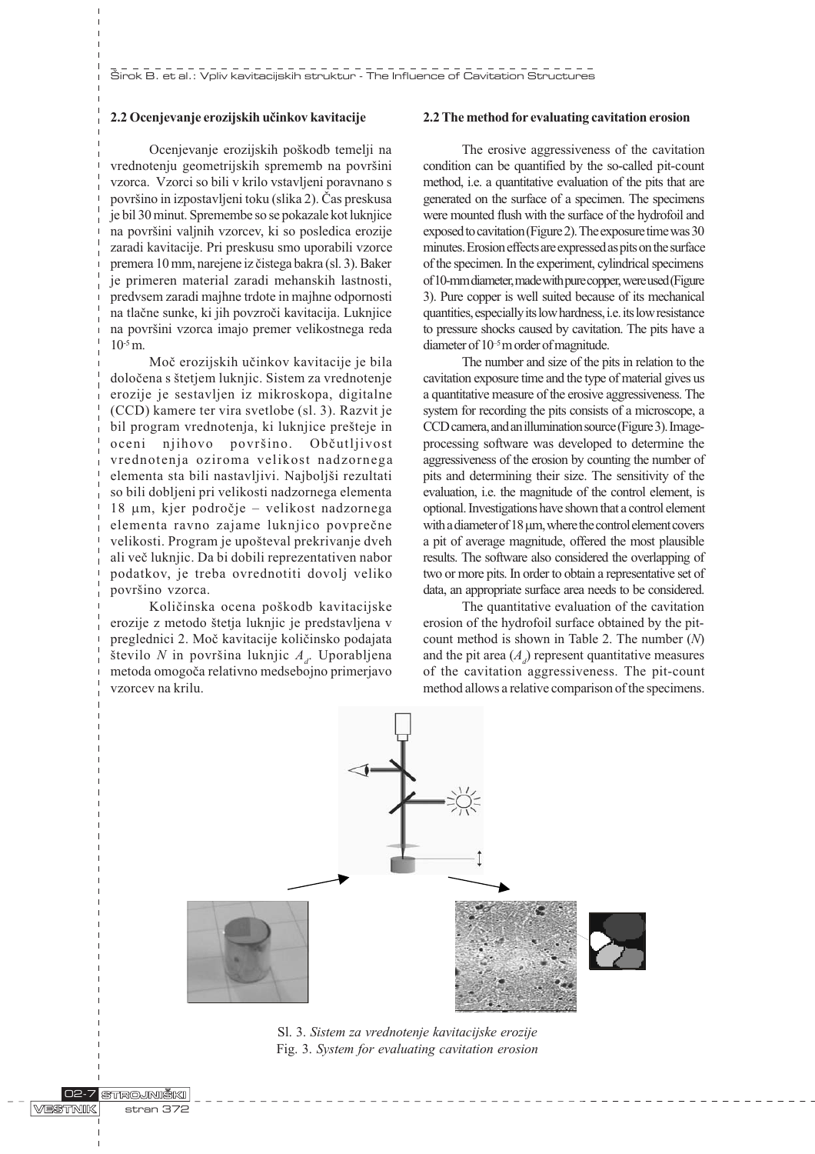## 2.2 Ocenjevanje erozijskih uèinkov kavitacije

Ocenjevanje erozijskih poškodb temelji na vrednotenju geometrijskih sprememb na površini vzorca. Vzorci so bili v krilo vstavljeni poravnano s povrino in izpostavljeni toku (slika 2). Èas preskusa je bil 30 minut. Spremembe so se pokazale kot luknjice na površini valjnih vzorcev, ki so posledica erozije zaradi kavitacije. Pri preskusu smo uporabili vzorce premera 10 mm, narejene iz čistega bakra (sl. 3). Baker je primeren material zaradi mehanskih lastnosti, predvsem zaradi majhne trdote in majhne odpornosti na tlaène sunke, ki jih povzroèi kavitacija. Luknjice na površini vzorca imajo premer velikostnega reda  $10^{-5}$  m.

Moè erozijskih uèinkov kavitacije je bila doloèena s tetjem luknjic. Sistem za vrednotenje erozije je sestavljen iz mikroskopa, digitalne (CCD) kamere ter vira svetlobe (sl. 3). Razvit je bil program vrednotenja, ki luknjice prešteje in oceni njihovo površino. Občutljivost vrednotenja oziroma velikost nadzornega elementa sta bili nastavljivi. Najboljši rezultati so bili dobljeni pri velikosti nadzornega elementa 18 µm, kjer področje - velikost nadzornega elementa ravno zajame luknjico povpreène velikosti. Program je upošteval prekrivanje dveh ali veè luknjic. Da bi dobili reprezentativen nabor podatkov, je treba ovrednotiti dovolj veliko površino vzorca.

Količinska ocena poškodb kavitacijske erozije z metodo štetja luknjic je predstavljena v preglednici 2. Moè kavitacije kolièinsko podajata število  $N$  in površina luknjic  $A_{d}$ . Uporabljena metoda omogoèa relativno medsebojno primerjavo vzorcev na krilu.

#### 2.2 The method for evaluating cavitation erosion

The erosive aggressiveness of the cavitation condition can be quantified by the so-called pit-count method, i.e. a quantitative evaluation of the pits that are generated on the surface of a specimen. The specimens were mounted flush with the surface of the hydrofoil and exposed to cavitation (Figure 2). The exposure time was 30 minutes. Erosion effects are expressed as pits on the surface of the specimen. In the experiment, cylindrical specimens of 10-mm diameter, made with pure copper, were used (Figure 3). Pure copper is well suited because of its mechanical quantities, especially its low hardness, i.e. its low resistance to pressure shocks caused by cavitation. The pits have a diameter of  $10^{-5}$  m order of magnitude.

The number and size of the pits in relation to the cavitation exposure time and the type of material gives us a quantitative measure of the erosive aggressiveness. The system for recording the pits consists of a microscope, a CCD camera, and an illumination source (Figure 3). Imageprocessing software was developed to determine the aggressiveness of the erosion by counting the number of pits and determining their size. The sensitivity of the evaluation, i.e. the magnitude of the control element, is optional. Investigations have shown that a control element with a diameter of  $18 \mu m$ , where the control element covers a pit of average magnitude, offered the most plausible results. The software also considered the overlapping of two or more pits. In order to obtain a representative set of data, an appropriate surface area needs to be considered.

The quantitative evaluation of the cavitation erosion of the hydrofoil surface obtained by the pitcount method is shown in Table 2. The number  $(N)$ and the pit area  $(A_d)$  represent quantitative measures of the cavitation aggressiveness. The pit-count method allows a relative comparison of the specimens.



Sl. 3. Sistem za vrednotenje kavitacijske erozije Fig. 3. System for evaluating cavitation erosion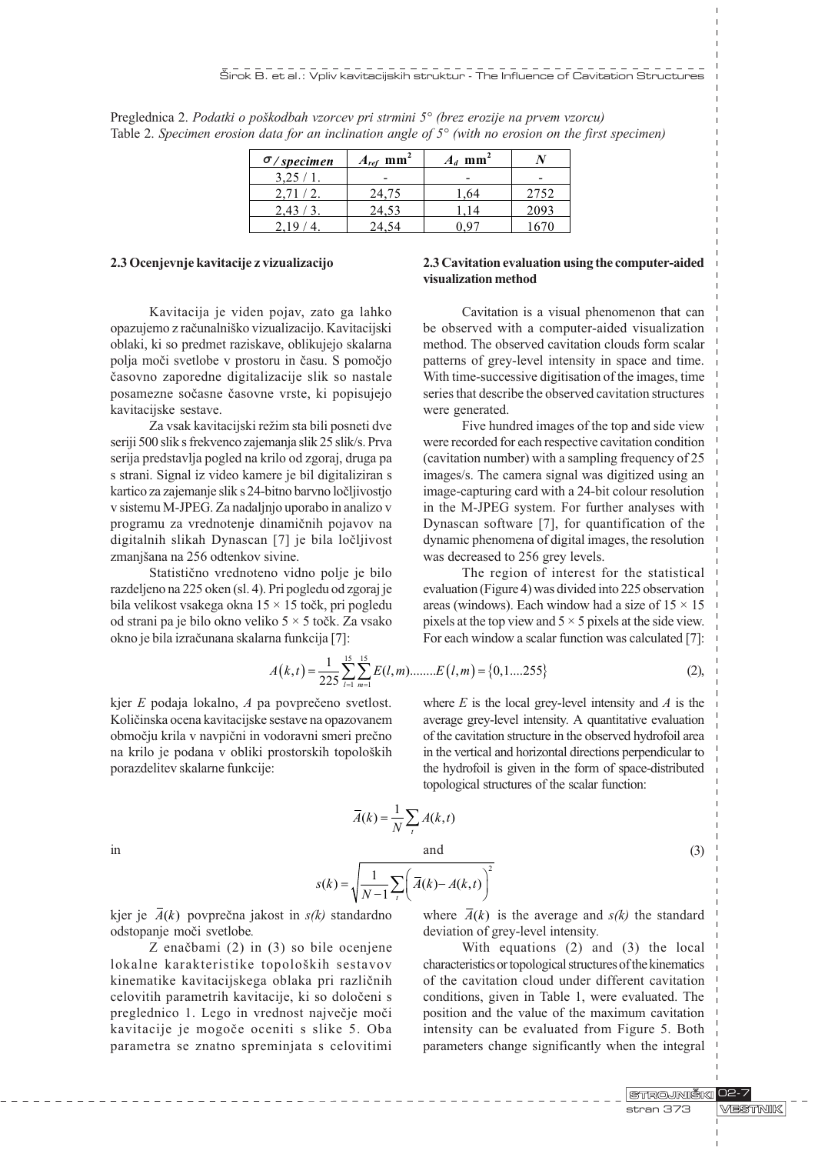| $\sigma$ /specimen | $A_{ref}$ mm <sup>2</sup> | $A_d$ mm <sup>2</sup> |      |
|--------------------|---------------------------|-----------------------|------|
| $3,25/1$ .         |                           |                       |      |
| 2,71/2.            | 24,75                     | 1,64                  | 2752 |
| 2,43/3.            | 24,53                     | 114                   | 2093 |
|                    |                           |                       |      |

Preglednica 2. Podatki o poškodbah vzorcev pri strmini 5° (brez erozije na prvem vzorcu) Table 2. Specimen erosion data for an inclination angle of  $5^{\circ}$  (with no erosion on the first specimen)

#### 2.3 Ocenjevnje kavitacije z vizualizacijo

Kavitacija je viden pojav, zato ga lahko opazujemo z raèunalniko vizualizacijo. Kavitacijski oblaki, ki so predmet raziskave, oblikujejo skalarna polja moèi svetlobe v prostoru in èasu. S pomoèjo èasovno zaporedne digitalizacije slik so nastale posamezne soèasne èasovne vrste, ki popisujejo kavitacijske sestave.

Za vsak kavitacijski režim sta bili posneti dve seriji 500 slik s frekvenco zajemanja slik 25 slik/s. Prva serija predstavlja pogled na krilo od zgoraj, druga pa s strani. Signal iz video kamere je bil digitaliziran s kartico za zajemanje slik s 24-bitno barvno loèljivostjo v sistemu M-JPEG. Za nadaljnjo uporabo in analizo v programu za vrednotenje dinamiènih pojavov na digitalnih slikah Dynascan [7] je bila loèljivost zmanjšana na 256 odtenkov sivine.

Statistièno vrednoteno vidno polje je bilo razdeljeno na 225 oken (sl. 4). Pri pogledu od zgoraj je bila velikost vsakega okna 15 × 15 toèk, pri pogledu od strani pa je bilo okno veliko 5 × 5 toèk. Za vsako okno je bila izraèunana skalarna funkcija [7]:

# 2.3 Cavitation evaluation using the computer-aided visualization method

Cavitation is a visual phenomenon that can be observed with a computer-aided visualization method. The observed cavitation clouds form scalar patterns of grey-level intensity in space and time. With time-successive digitisation of the images, time series that describe the observed cavitation structures were generated.

Five hundred images of the top and side view were recorded for each respective cavitation condition (cavitation number) with a sampling frequency of 25 images/s. The camera signal was digitized using an image-capturing card with a 24-bit colour resolution in the M-JPEG system. For further analyses with Dynascan software [7], for quantification of the dynamic phenomena of digital images, the resolution was decreased to 256 grey levels.

The region of interest for the statistical evaluation (Figure 4) was divided into 225 observation areas (windows). Each window had a size of  $15 \times 15$ pixels at the top view and  $5 \times 5$  pixels at the side view. For each window a scalar function was calculated [7]:

$$
A(k,t) = \frac{1}{225} \sum_{l=1}^{15} \sum_{m=1}^{15} E(l,m) \dots L(l,m) = \{0,1,\dots,255\}
$$
 (2),

kjer E podaja lokalno, A pa povprečeno svetlost. Kolièinska ocena kavitacijske sestave na opazovanem obmoèju krila v navpièni in vodoravni smeri preèno na krilo je podana v obliki prostorskih topoloških porazdelitev skalarne funkcije:

where  $E$  is the local grey-level intensity and  $A$  is the average grey-level intensity. A quantitative evaluation of the cavitation structure in the observed hydrofoil area in the vertical and horizontal directions perpendicular to the hydrofoil is given in the form of space-distributed topological structures of the scalar function:

$$
\operatorname{in}
$$

$$
s(k) = \sqrt{\frac{1}{N-1} \sum_{t} \left( \overline{A}(k) - A(k,t) \right)^2}
$$

 $(k) = \frac{1}{N} \sum A(k,t)$ t  $\overline{A}(k) = \frac{1}{N} \sum_{t} A(k, t)$ 

and  $(3)$ 

kjer je  $\overline{A}(k)$  povprečna jakost in  $s(k)$  standardno odstopanje moèi svetlobe.

Z enaèbami (2) in (3) so bile ocenjene lokalne karakteristike topoloških sestavov kinematike kavitacijskega oblaka pri razliènih celovitih parametrih kavitacije, ki so doloèeni s preglednico 1. Lego in vrednost najveèje moèi kavitacije je mogoče oceniti s slike 5. Oba parametra se znatno spreminjata s celovitimi where  $\overline{A}(k)$  is the average and  $s(k)$  the standard deviation of grey-level intensity.

With equations (2) and (3) the local characteristics or topological structures of the kinematics of the cavitation cloud under different cavitation conditions, given in Table 1, were evaluated. The position and the value of the maximum cavitation intensity can be evaluated from Figure 5. Both parameters change significantly when the integral

> STROJNIŠKI 02-7 **MESTINIK** stran 373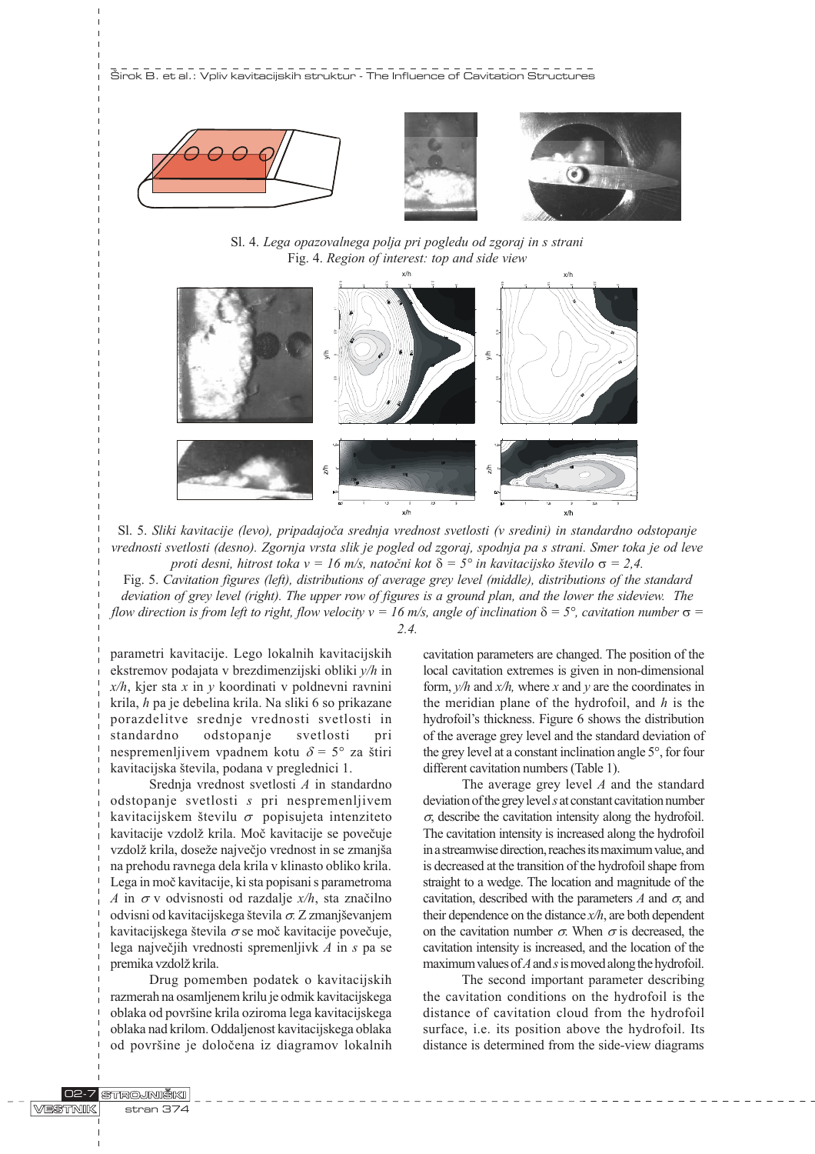





Sl. 4. Lega opazovalnega polja pri pogledu od zgoraj in s strani Fig. 4. Region of interest: top and side view



Sl. 5. Sliki kavitacije (levo), pripadajoèa srednja vrednost svetlosti (v sredini) in standardno odstopanje vrednosti svetlosti (desno). Zgornja vrsta slik je pogled od zgoraj, spodnja pa s strani. Smer toka je od leve proti desni, hitrost toka v = 16 m/s, natočni kot  $\delta = 5^{\circ}$  in kavitacijsko število  $\sigma = 2.4$ .

Fig. 5. Cavitation figures (left), distributions of average grey level (middle), distributions of the standard deviation of grey level (right). The upper row of figures is a ground plan, and the lower the sideview. The flow direction is from left to right, flow velocity  $v = 16$  m/s, angle of inclination  $\delta = 5^{\circ}$ , cavitation number  $\sigma =$ 2.4.

parametri kavitacije. Lego lokalnih kavitacijskih ekstremov podajata v brezdimenzijski obliki y/h in  $x/h$ , kjer sta x in y koordinati v poldnevni ravnini krila, h pa je debelina krila. Na sliki 6 so prikazane porazdelitve srednje vrednosti svetlosti in standardno odstopanje svetlosti pri nespremenljivem vpadnem kotu  $\delta = 5^{\circ}$  za štiri kavitacijska števila, podana v preglednici 1.

Srednja vrednost svetlosti A in standardno odstopanje svetlosti s pri nespremenljivem kavitacijskem številu  $\sigma$  popisujeta intenziteto kavitacije vzdolž krila. Moč kavitacije se povečuje vzdolž krila, doseže največio vrednost in se zmaniša na prehodu ravnega dela krila v klinasto obliko krila. Lega in moè kavitacije, ki sta popisani s parametroma A in  $\sigma$  v odvisnosti od razdalje  $x/h$ , sta značilno odvisni od kavitacijskega števila  $\sigma$ . Z zmanjševanjem kavitacijskega števila  $\sigma$  se moč kavitacije povečuje, lega največjih vrednosti spremenljivk  $A$  in  $s$  pa se premika vzdolž krila.

Drug pomemben podatek o kavitacijskih razmerah na osamljenem krilu je odmik kavitacijskega oblaka od površine krila oziroma lega kavitacijskega oblaka nad krilom. Oddaljenost kavitacijskega oblaka od površine je določena iz diagramov lokalnih cavitation parameters are changed. The position of the local cavitation extremes is given in non-dimensional form,  $y/h$  and  $x/h$ , where x and y are the coordinates in the meridian plane of the hydrofoil, and  $h$  is the hydrofoil's thickness. Figure 6 shows the distribution of the average grey level and the standard deviation of the grey level at a constant inclination angle 5°, for four different cavitation numbers (Table 1).

The average grey level  $A$  and the standard deviation of the grey level s at constant cavitation number  $\sigma$ , describe the cavitation intensity along the hydrofoil. The cavitation intensity is increased along the hydrofoil in a streamwise direction, reaches its maximum value, and is decreased at the transition of the hydrofoil shape from straight to a wedge. The location and magnitude of the cavitation, described with the parameters A and  $\sigma$ , and their dependence on the distance  $x/h$ , are both dependent on the cavitation number  $\sigma$ . When  $\sigma$  is decreased, the cavitation intensity is increased, and the location of the maximum values of  $A$  and  $s$  is moved along the hydrofoil.

The second important parameter describing the cavitation conditions on the hydrofoil is the distance of cavitation cloud from the hydrofoil surface, i.e. its position above the hydrofoil. Its distance is determined from the side-view diagrams

**WESSTANIK**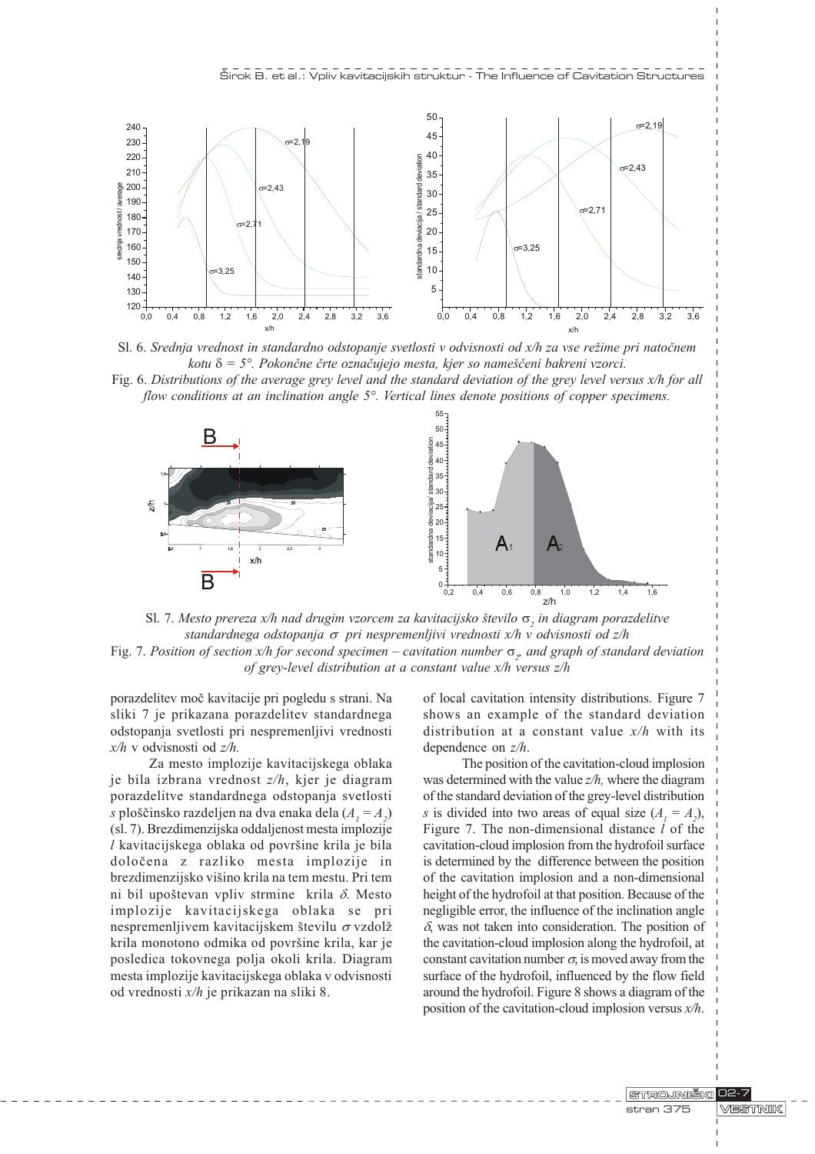



Fig. 6. Distributions of the average grey level and the standard deviation of the grey level versus x/h for all flow conditions at an inclination angle 5°. Vertical lines denote positions of copper specimens.



Sl. 7. Mesto prereza x/h nad drugim vzorcem za kavitacijsko število  $\sigma$ <sub>2</sub> in diagram porazdelitve standardnega odstopanja  $\sigma$  pri nespremenljivi vrednosti x/h v odvisnosti od z/h Fig. 7. Position of section x/h for second specimen – cavitation number  $\sigma_p$  and graph of standard deviation of grey-level distribution at a constant value x/h versus z/h

porazdelitev moè kavitacije pri pogledu s strani. Na sliki 7 je prikazana porazdelitev standardnega odstopanja svetlosti pri nespremenljivi vrednosti x/h v odvisnosti od z/h.

Za mesto implozije kavitacijskega oblaka je bila izbrana vrednost z/h, kjer je diagram porazdelitve standardnega odstopanja svetlosti s ploščinsko razdeljen na dva enaka dela ( $A_{1} = A_{2}$ ) (sl. 7). Brezdimenzijska oddaljenost mesta implozije  $l$  kavitacijskega oblaka od površine krila je bila doloèena z razliko mesta implozije in brezdimenzijsko višino krila na tem mestu. Pri tem ni bil upoštevan vpliv strmine krila  $\delta$ . Mesto implozije kavitacijskega oblaka se pri nespremenljivem kavitacijskem številu  $\sigma$  vzdolž krila monotono odmika od površine krila, kar je posledica tokovnega polja okoli krila. Diagram mesta implozije kavitacijskega oblaka v odvisnosti od vrednosti x/h je prikazan na sliki 8.

of local cavitation intensity distributions. Figure 7 shows an example of the standard deviation distribution at a constant value  $x/h$  with its dependence on z/h.

The position of the cavitation-cloud implosion was determined with the value  $z/h$ , where the diagram of the standard deviation of the grey-level distribution s is divided into two areas of equal size  $(A_1 = A_2)$ , Figure 7. The non-dimensional distance  $l$  of the cavitation-cloud implosion from the hydrofoil surface is determined by the difference between the position of the cavitation implosion and a non-dimensional height of the hydrofoil at that position. Because of the negligible error, the influence of the inclination angle  $\delta$ , was not taken into consideration. The position of the cavitation-cloud implosion along the hydrofoil, at constant cavitation number  $\sigma$ , is moved away from the surface of the hydrofoil, influenced by the flow field around the hydrofoil. Figure 8 shows a diagram of the position of the cavitation-cloud implosion versus  $x/h$ .

> **STROJNIŠKI** 102-7 **WESTINIK** stran 375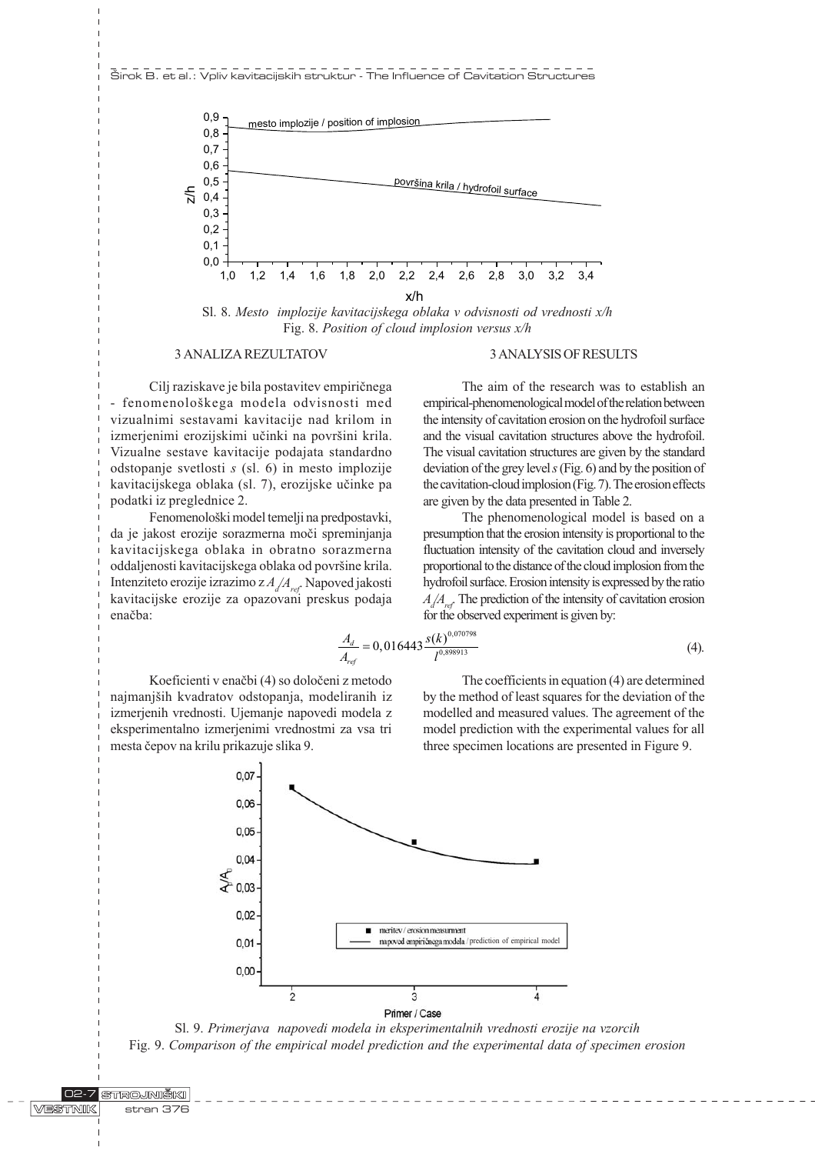

Sl. 8. Mesto implozije kavitacijskega oblaka v odvisnosti od vrednosti x/h Fig. 8. Position of cloud implosion versus x/h

## 3 ANALIZA REZULTATOV

Cilj raziskave je bila postavitev empiriènega - fenomenolokega modela odvisnosti med vizualnimi sestavami kavitacije nad krilom in izmerjenimi erozijskimi učinki na površini krila. Vizualne sestave kavitacije podajata standardno odstopanje svetlosti s (sl. 6) in mesto implozije kavitacijskega oblaka (sl. 7), erozijske uèinke pa podatki iz preglednice 2.

Fenomenološki model temelji na predpostavki, da je jakost erozije sorazmerna moèi spreminjanja kavitacijskega oblaka in obratno sorazmerna oddaljenosti kavitacijskega oblaka od površine krila. Intenziteto erozije izrazimo z $A_{\scriptscriptstyle\mathcal{A}}\!/\!A_{\scriptscriptstyle\mathit{ref}}$ . Napoved jakosti kavitacijske erozije za opazovani preskus podaja enačba:

## 3 ANALYSIS OF RESULTS

The aim of the research was to establish an empirical-phenomenological model of the relation between the intensity of cavitation erosion on the hydrofoil surface and the visual cavitation structures above the hydrofoil. The visual cavitation structures are given by the standard deviation of the grey level s (Fig. 6) and by the position of the cavitation-cloud implosion (Fig. 7). The erosion effects are given by the data presented in Table 2.

The phenomenological model is based on a presumption that the erosion intensity is proportional to the fluctuation intensity of the cavitation cloud and inversely proportional to the distance of the cloud implosion from the hydrofoil surface. Erosion intensity is expressed by the ratio  $A_d/A_{ref}$ . The prediction of the intensity of cavitation erosion for the observed experiment is given by:

$$
\frac{A_d}{A_{ref}} = 0,016443 \frac{s(k)^{0.070798}}{l^{0.898913}}
$$
\n(4).

Koeficienti v enaèbi (4) so doloèeni z metodo najmanjših kvadratov odstopanja, modeliranih iz izmerjenih vrednosti. Ujemanje napovedi modela z eksperimentalno izmerjenimi vrednostmi za vsa tri mesta èepov na krilu prikazuje slika 9.

The coefficients in equation (4) are determined by the method of least squares for the deviation of the modelled and measured values. The agreement of the model prediction with the experimental values for all three specimen locations are presented in Figure 9.



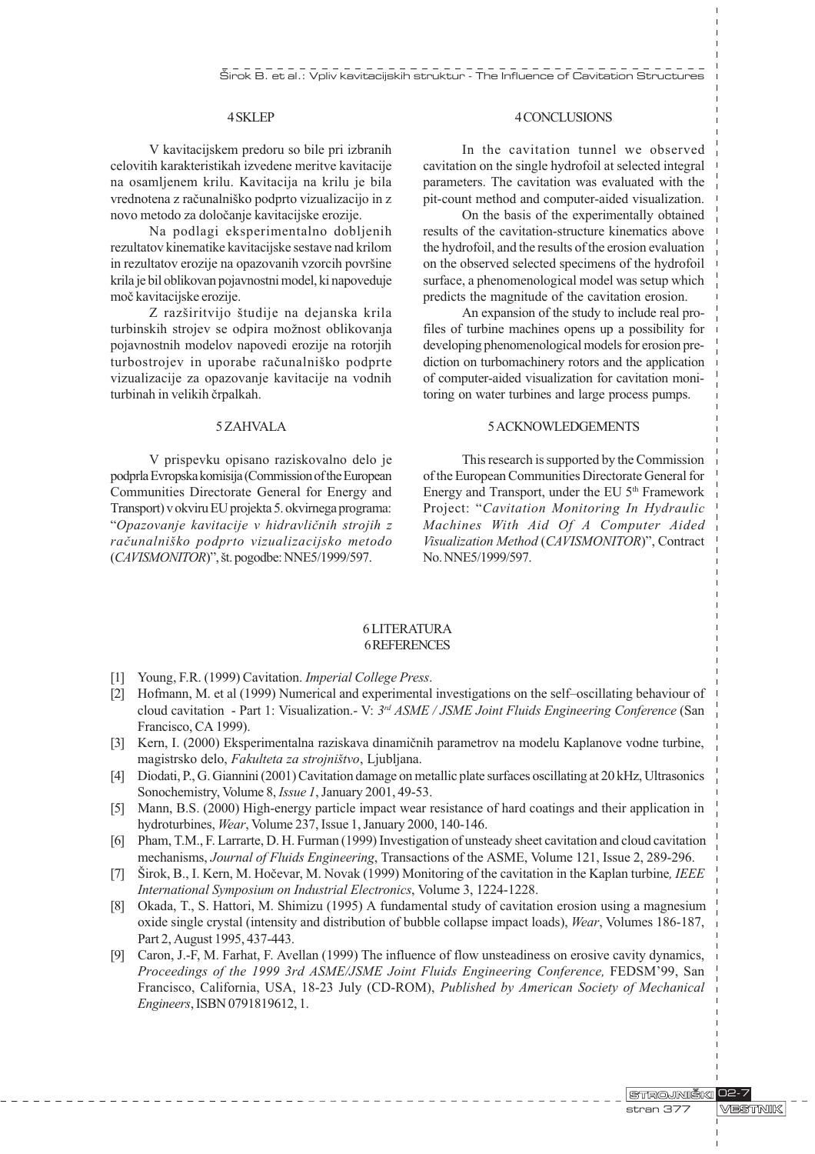# 4 SKLEP

V kavitacijskem predoru so bile pri izbranih celovitih karakteristikah izvedene meritve kavitacije na osamljenem krilu. Kavitacija na krilu je bila vrednotena z računalniško podprto vizualizacijo in z novo metodo za doloèanje kavitacijske erozije.

Na podlagi eksperimentalno dobljenih rezultatov kinematike kavitacijske sestave nad krilom in rezultatov erozije na opazovanih vzorcih površine krila je bil oblikovan pojavnostni model, ki napoveduje moè kavitacijske erozije.

Z razširitvijo študije na dejanska krila turbinskih strojev se odpira možnost oblikovanja pojavnostnih modelov napovedi erozije na rotorjih turbostrojev in uporabe računalniško podprte vizualizacije za opazovanje kavitacije na vodnih turbinah in velikih èrpalkah.

#### 5 ZAHVALA

V prispevku opisano raziskovalno delo je podprla Evropska komisija (Commission of the European Communities Directorate General for Energy and Transport) v okviru EU projekta 5. okvirnega programa: Opazovanje kavitacije v hidravliènih strojih z raèunalniko podprto vizualizacijsko metodo  $(CAVISMONITOR)$ ", št. pogodbe: NNE5/1999/597.

# 4 CONCLUSIONS

In the cavitation tunnel we observed cavitation on the single hydrofoil at selected integral parameters. The cavitation was evaluated with the pit-count method and computer-aided visualization.

On the basis of the experimentally obtained results of the cavitation-structure kinematics above the hydrofoil, and the results of the erosion evaluation on the observed selected specimens of the hydrofoil surface, a phenomenological model was setup which predicts the magnitude of the cavitation erosion.

An expansion of the study to include real profiles of turbine machines opens up a possibility for developing phenomenological models for erosion prediction on turbomachinery rotors and the application of computer-aided visualization for cavitation monitoring on water turbines and large process pumps.

## 5 ACKNOWLEDGEMENTS

This research is supported by the Commission of the European Communities Directorate General for Energy and Transport, under the EU 5th Framework Project: "Cavitation Monitoring In Hydraulic Machines With Aid Of A Computer Aided Visualization Method (CAVISMONITOR)", Contract No. NNE5/1999/597.

#### 6 LITERATURA 6 REFERENCES

- [1] Young, F.R. (1999) Cavitation. Imperial College Press.
- [2] Hofmann, M. et al (1999) Numerical and experimental investigations on the self-oscillating behaviour of cloud cavitation - Part 1: Visualization.- V:  $3^{rd}$  ASME / JSME Joint Fluids Engineering Conference (San Francisco, CA 1999).
- [3] Kern, I. (2000) Eksperimentalna raziskava dinamiènih parametrov na modelu Kaplanove vodne turbine, magistrsko delo, Fakulteta za strojništvo, Ljubljana.
- [4] Diodati, P., G. Giannini (2001) Cavitation damage on metallic plate surfaces oscillating at 20 kHz, Ultrasonics Sonochemistry, Volume 8, *Issue 1*, January 2001, 49-53.
- [5] Mann, B.S. (2000) High-energy particle impact wear resistance of hard coatings and their application in hydroturbines, Wear, Volume 237, Issue 1, January 2000, 140-146.
- [6] Pham, T.M., F. Larrarte, D. H. Furman (1999) Investigation of unsteady sheet cavitation and cloud cavitation mechanisms, Journal of Fluids Engineering, Transactions of the ASME, Volume 121, Issue 2, 289-296.
- [7] Širok, B., I. Kern, M. Hočevar, M. Novak (1999) Monitoring of the cavitation in the Kaplan turbine, IEEE International Symposium on Industrial Electronics, Volume 3, 1224-1228.
- [8] Okada, T., S. Hattori, M. Shimizu (1995) A fundamental study of cavitation erosion using a magnesium oxide single crystal (intensity and distribution of bubble collapse impact loads), Wear, Volumes 186-187, Part 2, August 1995, 437-443.
- [9] Caron, J.-F, M. Farhat, F. Avellan (1999) The influence of flow unsteadiness on erosive cavity dynamics, Proceedings of the 1999 3rd ASME/JSME Joint Fluids Engineering Conference, FEDSM'99, San Francisco, California, USA, 18-23 July (CD-ROM), Published by American Society of Mechanical Engineers, ISBN 0791819612, 1.